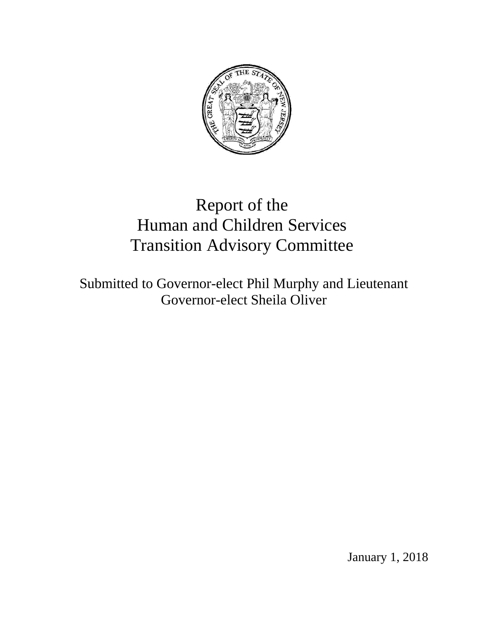

# Report of the Human and Children Services Transition Advisory Committee

Submitted to Governor-elect Phil Murphy and Lieutenant Governor-elect Sheila Oliver

January 1, 2018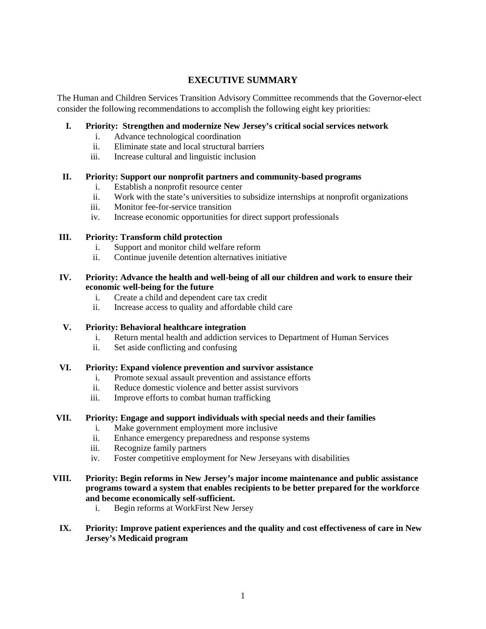# **EXECUTIVE SUMMARY**

The Human and Children Services Transition Advisory Committee recommends that the Governor-elect consider the following recommendations to accomplish the following eight key priorities:

# **I. Priority: Strengthen and modernize New Jersey's critical social services network**

- i. Advance technological coordination
- ii. Eliminate state and local structural barriers
- iii. Increase cultural and linguistic inclusion

# **II. Priority: Support our nonprofit partners and community-based programs**

- i. Establish a nonprofit resource center
- ii. Work with the state's universities to subsidize internships at nonprofit organizations
- iii. Monitor fee-for-service transition
- iv. Increase economic opportunities for direct support professionals

# **III. Priority: Transform child protection**

- i. Support and monitor child welfare reform
- ii. Continue juvenile detention alternatives initiative

# **IV. Priority: Advance the health and well-being of all our children and work to ensure their economic well-being for the future**

- i. Create a child and dependent care tax credit
- ii. Increase access to quality and affordable child care

# **V. Priority: Behavioral healthcare integration**

- i. Return mental health and addiction services to Department of Human Services
- ii. Set aside conflicting and confusing

# **VI. Priority: Expand violence prevention and survivor assistance**

- i. Promote sexual assault prevention and assistance efforts
- ii. Reduce domestic violence and better assist survivors
- iii. Improve efforts to combat human trafficking

# **VII. Priority: Engage and support individuals with special needs and their families**

- i. Make government employment more inclusive
- ii. Enhance emergency preparedness and response systems
- iii. Recognize family partners
- iv. Foster competitive employment for New Jerseyans with disabilities

# **VIII. Priority: Begin reforms in New Jersey's major income maintenance and public assistance programs toward a system that enables recipients to be better prepared for the workforce and become economically self-sufficient.**

i. Begin reforms at WorkFirst New Jersey

# **IX. Priority: Improve patient experiences and the quality and cost effectiveness of care in New Jersey's Medicaid program**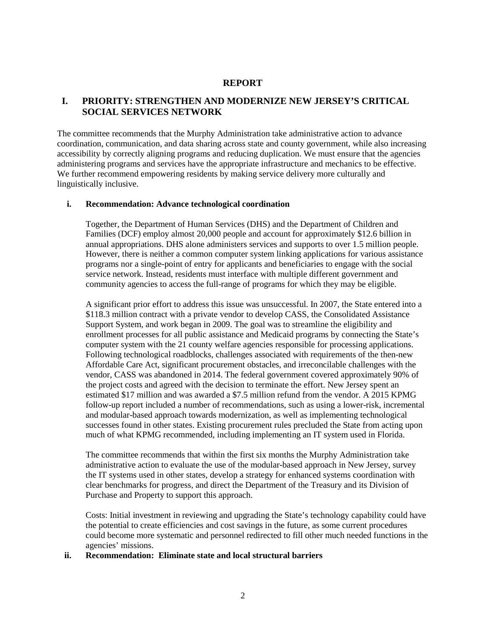# **REPORT**

# **I. PRIORITY: STRENGTHEN AND MODERNIZE NEW JERSEY'S CRITICAL SOCIAL SERVICES NETWORK**

The committee recommends that the Murphy Administration take administrative action to advance coordination, communication, and data sharing across state and county government, while also increasing accessibility by correctly aligning programs and reducing duplication. We must ensure that the agencies administering programs and services have the appropriate infrastructure and mechanics to be effective. We further recommend empowering residents by making service delivery more culturally and linguistically inclusive.

#### **i. Recommendation: Advance technological coordination**

Together, the Department of Human Services (DHS) and the Department of Children and Families (DCF) employ almost 20,000 people and account for approximately \$12.6 billion in annual appropriations. DHS alone administers services and supports to over 1.5 million people. However, there is neither a common computer system linking applications for various assistance programs nor a single-point of entry for applicants and beneficiaries to engage with the social service network. Instead, residents must interface with multiple different government and community agencies to access the full-range of programs for which they may be eligible.

A significant prior effort to address this issue was unsuccessful. In 2007, the State entered into a \$118.3 million contract with a private vendor to develop CASS, the Consolidated Assistance Support System, and work began in 2009. The goal was to streamline the eligibility and enrollment processes for all public assistance and Medicaid programs by connecting the State's computer system with the 21 county welfare agencies responsible for processing applications. Following technological roadblocks, challenges associated with requirements of the then-new Affordable Care Act, significant procurement obstacles, and irreconcilable challenges with the vendor, CASS was abandoned in 2014. The federal government covered approximately 90% of the project costs and agreed with the decision to terminate the effort. New Jersey spent an estimated \$17 million and was awarded a \$7.5 million refund from the vendor. A 2015 KPMG follow-up report included a number of recommendations, such as using a lower-risk, incremental and modular-based approach towards modernization, as well as implementing technological successes found in other states. Existing procurement rules precluded the State from acting upon much of what KPMG recommended, including implementing an IT system used in Florida.

The committee recommends that within the first six months the Murphy Administration take administrative action to evaluate the use of the modular-based approach in New Jersey, survey the IT systems used in other states, develop a strategy for enhanced systems coordination with clear benchmarks for progress, and direct the Department of the Treasury and its Division of Purchase and Property to support this approach.

Costs: Initial investment in reviewing and upgrading the State's technology capability could have the potential to create efficiencies and cost savings in the future, as some current procedures could become more systematic and personnel redirected to fill other much needed functions in the agencies' missions.

#### **ii. Recommendation: Eliminate state and local structural barriers**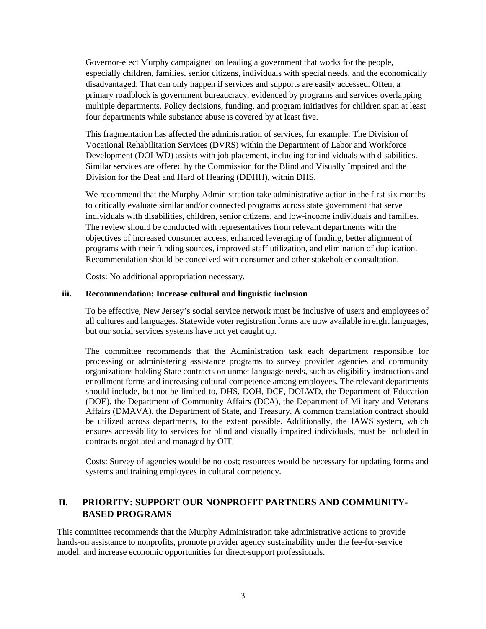Governor-elect Murphy campaigned on leading a government that works for the people, especially children, families, senior citizens, individuals with special needs, and the economically disadvantaged. That can only happen if services and supports are easily accessed. Often, a primary roadblock is government bureaucracy, evidenced by programs and services overlapping multiple departments. Policy decisions, funding, and program initiatives for children span at least four departments while substance abuse is covered by at least five.

This fragmentation has affected the administration of services, for example: The Division of Vocational Rehabilitation Services (DVRS) within the Department of Labor and Workforce Development (DOLWD) assists with job placement, including for individuals with disabilities. Similar services are offered by the Commission for the Blind and Visually Impaired and the Division for the Deaf and Hard of Hearing (DDHH), within DHS.

We recommend that the Murphy Administration take administrative action in the first six months to critically evaluate similar and/or connected programs across state government that serve individuals with disabilities, children, senior citizens, and low-income individuals and families. The review should be conducted with representatives from relevant departments with the objectives of increased consumer access, enhanced leveraging of funding, better alignment of programs with their funding sources, improved staff utilization, and elimination of duplication. Recommendation should be conceived with consumer and other stakeholder consultation.

Costs: No additional appropriation necessary.

#### **iii. Recommendation: Increase cultural and linguistic inclusion**

To be effective, New Jersey's social service network must be inclusive of users and employees of all cultures and languages. Statewide voter registration forms are now available in eight languages, but our social services systems have not yet caught up.

The committee recommends that the Administration task each department responsible for processing or administering assistance programs to survey provider agencies and community organizations holding State contracts on unmet language needs, such as eligibility instructions and enrollment forms and increasing cultural competence among employees. The relevant departments should include, but not be limited to, DHS, DOH, DCF, DOLWD, the Department of Education (DOE), the Department of Community Affairs (DCA), the Department of Military and Veterans Affairs (DMAVA), the Department of State, and Treasury. A common translation contract should be utilized across departments, to the extent possible. Additionally, the JAWS system, which ensures accessibility to services for blind and visually impaired individuals, must be included in contracts negotiated and managed by OIT.

Costs: Survey of agencies would be no cost; resources would be necessary for updating forms and systems and training employees in cultural competency.

# **II. PRIORITY: SUPPORT OUR NONPROFIT PARTNERS AND COMMUNITY-BASED PROGRAMS**

This committee recommends that the Murphy Administration take administrative actions to provide hands-on assistance to nonprofits, promote provider agency sustainability under the fee-for-service model, and increase economic opportunities for direct-support professionals.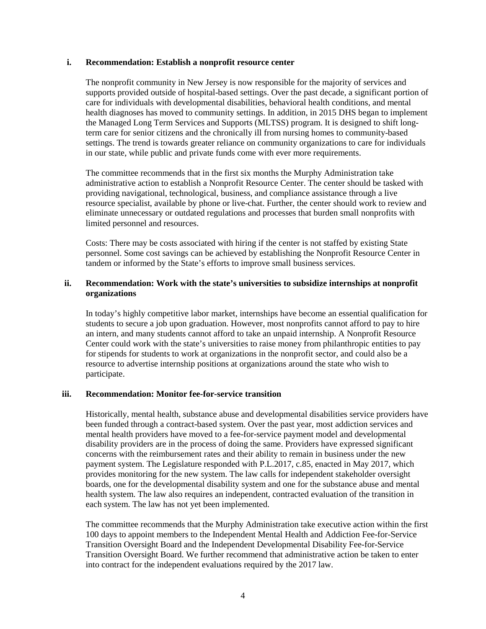#### **i. Recommendation: Establish a nonprofit resource center**

The nonprofit community in New Jersey is now responsible for the majority of services and supports provided outside of hospital-based settings. Over the past decade, a significant portion of care for individuals with developmental disabilities, behavioral health conditions, and mental health diagnoses has moved to community settings. In addition, in 2015 DHS began to implement the Managed Long Term Services and Supports (MLTSS) program. It is designed to shift longterm care for senior citizens and the chronically ill from nursing homes to community-based settings. The trend is towards greater reliance on community organizations to care for individuals in our state, while public and private funds come with ever more requirements.

The committee recommends that in the first six months the Murphy Administration take administrative action to establish a Nonprofit Resource Center. The center should be tasked with providing navigational, technological, business, and compliance assistance through a live resource specialist, available by phone or live-chat. Further, the center should work to review and eliminate unnecessary or outdated regulations and processes that burden small nonprofits with limited personnel and resources.

Costs: There may be costs associated with hiring if the center is not staffed by existing State personnel. Some cost savings can be achieved by establishing the Nonprofit Resource Center in tandem or informed by the State's efforts to improve small business services.

#### **ii. Recommendation: Work with the state's universities to subsidize internships at nonprofit organizations**

In today's highly competitive labor market, internships have become an essential qualification for students to secure a job upon graduation. However, most nonprofits cannot afford to pay to hire an intern, and many students cannot afford to take an unpaid internship. A Nonprofit Resource Center could work with the state's universities to raise money from philanthropic entities to pay for stipends for students to work at organizations in the nonprofit sector, and could also be a resource to advertise internship positions at organizations around the state who wish to participate.

#### **iii. Recommendation: Monitor fee-for-service transition**

Historically, mental health, substance abuse and developmental disabilities service providers have been funded through a contract-based system. Over the past year, most addiction services and mental health providers have moved to a fee-for-service payment model and developmental disability providers are in the process of doing the same. Providers have expressed significant concerns with the reimbursement rates and their ability to remain in business under the new payment system. The Legislature responded with P.L.2017, c.85, enacted in May 2017, which provides monitoring for the new system. The law calls for independent stakeholder oversight boards, one for the developmental disability system and one for the substance abuse and mental health system. The law also requires an independent, contracted evaluation of the transition in each system. The law has not yet been implemented.

The committee recommends that the Murphy Administration take executive action within the first 100 days to appoint members to the Independent Mental Health and Addiction Fee-for-Service Transition Oversight Board and the Independent Developmental Disability Fee-for-Service Transition Oversight Board. We further recommend that administrative action be taken to enter into contract for the independent evaluations required by the 2017 law.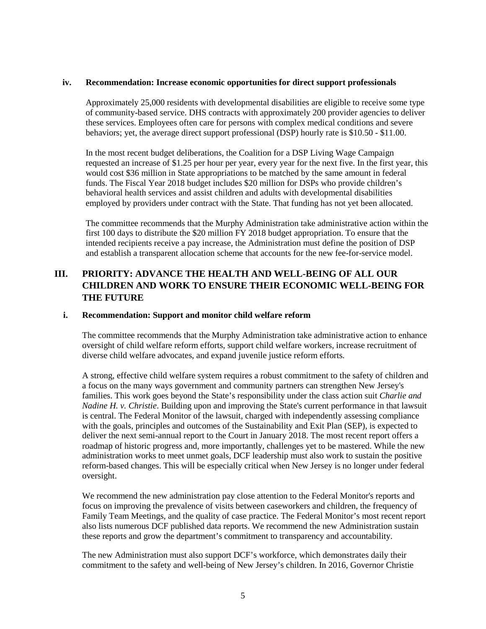#### **iv. Recommendation: Increase economic opportunities for direct support professionals**

Approximately 25,000 residents with developmental disabilities are eligible to receive some type of community-based service. DHS contracts with approximately 200 provider agencies to deliver these services. Employees often care for persons with complex medical conditions and severe behaviors; yet, the average direct support professional (DSP) hourly rate is \$10.50 - \$11.00.

In the most recent budget deliberations, the Coalition for a DSP Living Wage Campaign requested an increase of \$1.25 per hour per year, every year for the next five. In the first year, this would cost \$36 million in State appropriations to be matched by the same amount in federal funds. The Fiscal Year 2018 budget includes \$20 million for DSPs who provide children's behavioral health services and assist children and adults with developmental disabilities employed by providers under contract with the State. That funding has not yet been allocated.

The committee recommends that the Murphy Administration take administrative action within the first 100 days to distribute the \$20 million FY 2018 budget appropriation. To ensure that the intended recipients receive a pay increase, the Administration must define the position of DSP and establish a transparent allocation scheme that accounts for the new fee-for-service model.

# **III. PRIORITY: ADVANCE THE HEALTH AND WELL-BEING OF ALL OUR CHILDREN AND WORK TO ENSURE THEIR ECONOMIC WELL-BEING FOR THE FUTURE**

#### **i. Recommendation: Support and monitor child welfare reform**

The committee recommends that the Murphy Administration take administrative action to enhance oversight of child welfare reform efforts, support child welfare workers, increase recruitment of diverse child welfare advocates, and expand juvenile justice reform efforts.

A strong, effective child welfare system requires a robust commitment to the safety of children and a focus on the many ways government and community partners can strengthen New Jersey's families. This work goes beyond the State's responsibility under the class action suit *Charlie and Nadine H. v. Christie*. Building upon and improving the State's current performance in that lawsuit is central. The Federal Monitor of the lawsuit, charged with independently assessing compliance with the goals, principles and outcomes of the Sustainability and Exit Plan (SEP), is expected to deliver the next semi-annual report to the Court in January 2018. The most recent report offers a roadmap of historic progress and, more importantly, challenges yet to be mastered. While the new administration works to meet unmet goals, DCF leadership must also work to sustain the positive reform-based changes. This will be especially critical when New Jersey is no longer under federal oversight.

We recommend the new administration pay close attention to the Federal Monitor's reports and focus on improving the prevalence of visits between caseworkers and children, the frequency of Family Team Meetings, and the quality of case practice. The Federal Monitor's most recent report also lists numerous DCF published data reports. We recommend the new Administration sustain these reports and grow the department's commitment to transparency and accountability.

The new Administration must also support DCF's workforce, which demonstrates daily their commitment to the safety and well-being of New Jersey's children. In 2016, Governor Christie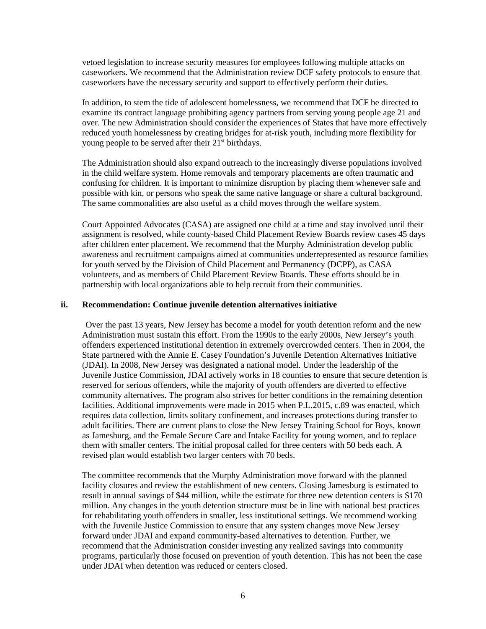vetoed legislation to increase security measures for employees following multiple attacks on caseworkers. We recommend that the Administration review DCF safety protocols to ensure that caseworkers have the necessary security and support to effectively perform their duties.

In addition, to stem the tide of adolescent homelessness, we recommend that DCF be directed to examine its contract language prohibiting agency partners from serving young people age 21 and over. The new Administration should consider the experiences of States that have more effectively reduced youth homelessness by creating bridges for at-risk youth, including more flexibility for young people to be served after their  $21<sup>st</sup>$  birthdays.

The Administration should also expand outreach to the increasingly diverse populations involved in the child welfare system. Home removals and temporary placements are often traumatic and confusing for children. It is important to minimize disruption by placing them whenever safe and possible with kin, or persons who speak the same native language or share a cultural background. The same commonalities are also useful as a child moves through the welfare system.

Court Appointed Advocates (CASA) are assigned one child at a time and stay involved until their assignment is resolved, while county-based Child Placement Review Boards review cases 45 days after children enter placement. We recommend that the Murphy Administration develop public awareness and recruitment campaigns aimed at communities underrepresented as resource families for youth served by the Division of Child Placement and Permanency (DCPP), as CASA volunteers, and as members of Child Placement Review Boards. These efforts should be in partnership with local organizations able to help recruit from their communities.

#### **ii. Recommendation: Continue juvenile detention alternatives initiative**

Over the past 13 years, New Jersey has become a model for youth detention reform and the new Administration must sustain this effort. From the 1990s to the early 2000s, New Jersey's youth offenders experienced institutional detention in extremely overcrowded centers. Then in 2004, the State partnered with the Annie E. Casey Foundation's Juvenile Detention Alternatives Initiative (JDAI). In 2008, New Jersey was designated a national model. Under the leadership of the Juvenile Justice Commission, JDAI actively works in 18 counties to ensure that secure detention is reserved for serious offenders, while the majority of youth offenders are diverted to effective community alternatives. The program also strives for better conditions in the remaining detention facilities. Additional improvements were made in 2015 when P.L.2015, c.89 was enacted, which requires data collection, limits solitary confinement, and increases protections during transfer to adult facilities. There are current plans to close the New Jersey Training School for Boys, known as Jamesburg, and the Female Secure Care and Intake Facility for young women, and to replace them with smaller centers. The initial proposal called for three centers with 50 beds each. A revised plan would establish two larger centers with 70 beds.

The committee recommends that the Murphy Administration move forward with the planned facility closures and review the establishment of new centers. Closing Jamesburg is estimated to result in annual savings of \$44 million, while the estimate for three new detention centers is \$170 million. Any changes in the youth detention structure must be in line with national best practices for rehabilitating youth offenders in smaller, less institutional settings. We recommend working with the Juvenile Justice Commission to ensure that any system changes move New Jersey forward under JDAI and expand community-based alternatives to detention. Further, we recommend that the Administration consider investing any realized savings into community programs, particularly those focused on prevention of youth detention. This has not been the case under JDAI when detention was reduced or centers closed.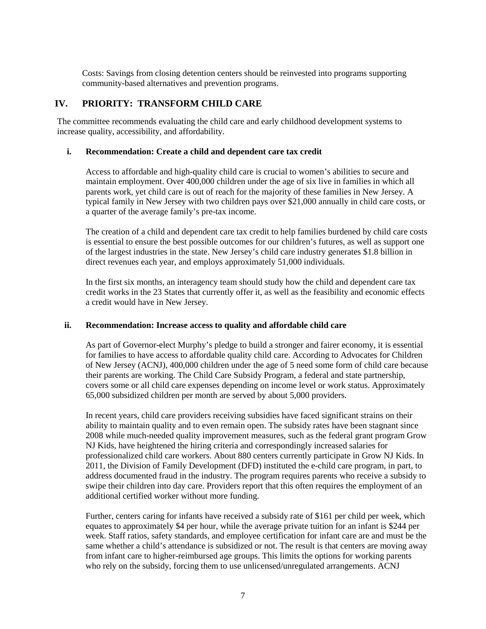Costs: Savings from closing detention centers should be reinvested into programs supporting community-based alternatives and prevention programs.

# **IV. PRIORITY: TRANSFORM CHILD CARE**

The committee recommends evaluating the child care and early childhood development systems to increase quality, accessibility, and affordability.

# **i. Recommendation: Create a child and dependent care tax credit**

Access to affordable and high-quality child care is crucial to women's abilities to secure and maintain employment. Over 400,000 children under the age of six live in families in which all parents work, yet child care is out of reach for the majority of these families in New Jersey. A typical family in New Jersey with two children pays over \$21,000 annually in child care costs, or a quarter of the average family's pre-tax income.

The creation of a child and dependent care tax credit to help families burdened by child care costs is essential to ensure the best possible outcomes for our children's futures, as well as support one of the largest industries in the state. New Jersey's child care industry generates \$1.8 billion in direct revenues each year, and employs approximately 51,000 individuals.

In the first six months, an interagency team should study how the child and dependent care tax credit works in the 23 States that currently offer it, as well as the feasibility and economic effects a credit would have in New Jersey.

# **ii. Recommendation: Increase access to quality and affordable child care**

As part of Governor-elect Murphy's pledge to build a stronger and fairer economy, it is essential for families to have access to affordable quality child care. According to Advocates for Children of New Jersey (ACNJ), 400,000 children under the age of 5 need some form of child care because their parents are working. The Child Care Subsidy Program, a federal and state partnership, covers some or all child care expenses depending on income level or work status. Approximately 65,000 subsidized children per month are served by about 5,000 providers.

In recent years, child care providers receiving subsidies have faced significant strains on their ability to maintain quality and to even remain open. The subsidy rates have been stagnant since 2008 while much-needed quality improvement measures, such as the federal grant program Grow NJ Kids, have heightened the hiring criteria and correspondingly increased salaries for professionalized child care workers. About 880 centers currently participate in Grow NJ Kids. In 2011, the Division of Family Development (DFD) instituted the e-child care program, in part, to address documented fraud in the industry. The program requires parents who receive a subsidy to swipe their children into day care. Providers report that this often requires the employment of an additional certified worker without more funding.

Further, centers caring for infants have received a subsidy rate of \$161 per child per week, which equates to approximately \$4 per hour, while the average private tuition for an infant is \$244 per week. Staff ratios, safety standards, and employee certification for infant care are and must be the same whether a child's attendance is subsidized or not. The result is that centers are moving away from infant care to higher-reimbursed age groups. This limits the options for working parents who rely on the subsidy, forcing them to use unlicensed/unregulated arrangements. ACNJ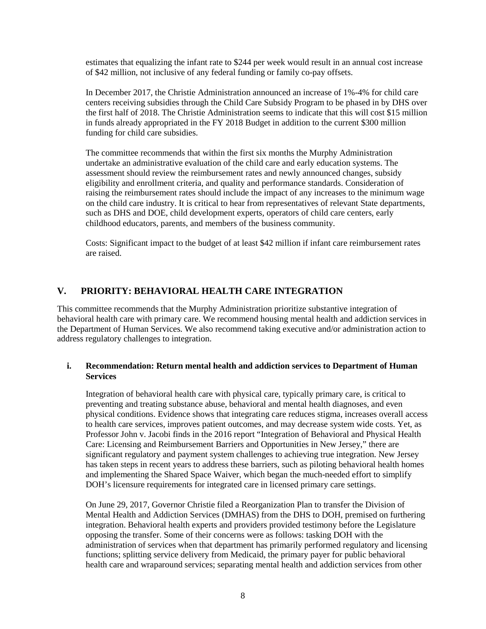estimates that equalizing the infant rate to \$244 per week would result in an annual cost increase of \$42 million, not inclusive of any federal funding or family co-pay offsets.

In December 2017, the Christie Administration announced an increase of 1%-4% for child care centers receiving subsidies through the Child Care Subsidy Program to be phased in by DHS over the first half of 2018. The Christie Administration seems to indicate that this will cost \$15 million in funds already appropriated in the FY 2018 Budget in addition to the current \$300 million funding for child care subsidies.

The committee recommends that within the first six months the Murphy Administration undertake an administrative evaluation of the child care and early education systems. The assessment should review the reimbursement rates and newly announced changes, subsidy eligibility and enrollment criteria, and quality and performance standards. Consideration of raising the reimbursement rates should include the impact of any increases to the minimum wage on the child care industry. It is critical to hear from representatives of relevant State departments, such as DHS and DOE, child development experts, operators of child care centers, early childhood educators, parents, and members of the business community.

Costs: Significant impact to the budget of at least \$42 million if infant care reimbursement rates are raised.

# **V. PRIORITY: BEHAVIORAL HEALTH CARE INTEGRATION**

This committee recommends that the Murphy Administration prioritize substantive integration of behavioral health care with primary care. We recommend housing mental health and addiction services in the Department of Human Services. We also recommend taking executive and/or administration action to address regulatory challenges to integration.

#### **i. Recommendation: Return mental health and addiction services to Department of Human Services**

Integration of behavioral health care with physical care, typically primary care, is critical to preventing and treating substance abuse, behavioral and mental health diagnoses, and even physical conditions. Evidence shows that integrating care reduces stigma, increases overall access to health care services, improves patient outcomes, and may decrease system wide costs. Yet, as Professor John v. Jacobi finds in the 2016 report "Integration of Behavioral and Physical Health Care: Licensing and Reimbursement Barriers and Opportunities in New Jersey," there are significant regulatory and payment system challenges to achieving true integration. New Jersey has taken steps in recent years to address these barriers, such as piloting behavioral health homes and implementing the Shared Space Waiver, which began the much-needed effort to simplify DOH's licensure requirements for integrated care in licensed primary care settings.

On June 29, 2017, Governor Christie filed a Reorganization Plan to transfer the Division of Mental Health and Addiction Services (DMHAS) from the DHS to DOH, premised on furthering integration. Behavioral health experts and providers provided testimony before the Legislature opposing the transfer. Some of their concerns were as follows: tasking DOH with the administration of services when that department has primarily performed regulatory and licensing functions; splitting service delivery from Medicaid, the primary payer for public behavioral health care and wraparound services; separating mental health and addiction services from other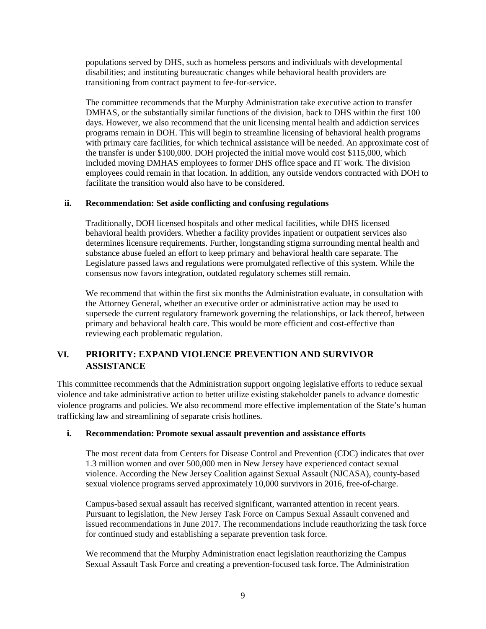populations served by DHS, such as homeless persons and individuals with developmental disabilities; and instituting bureaucratic changes while behavioral health providers are transitioning from contract payment to fee-for-service.

The committee recommends that the Murphy Administration take executive action to transfer DMHAS, or the substantially similar functions of the division, back to DHS within the first 100 days. However, we also recommend that the unit licensing mental health and addiction services programs remain in DOH. This will begin to streamline licensing of behavioral health programs with primary care facilities, for which technical assistance will be needed. An approximate cost of the transfer is under \$100,000. DOH projected the initial move would cost \$115,000, which included moving DMHAS employees to former DHS office space and IT work. The division employees could remain in that location. In addition, any outside vendors contracted with DOH to facilitate the transition would also have to be considered.

# **ii. Recommendation: Set aside conflicting and confusing regulations**

Traditionally, DOH licensed hospitals and other medical facilities, while DHS licensed behavioral health providers. Whether a facility provides inpatient or outpatient services also determines licensure requirements. Further, longstanding stigma surrounding mental health and substance abuse fueled an effort to keep primary and behavioral health care separate. The Legislature passed laws and regulations were promulgated reflective of this system. While the consensus now favors integration, outdated regulatory schemes still remain.

We recommend that within the first six months the Administration evaluate, in consultation with the Attorney General, whether an executive order or administrative action may be used to supersede the current regulatory framework governing the relationships, or lack thereof, between primary and behavioral health care. This would be more efficient and cost-effective than reviewing each problematic regulation.

# **VI. PRIORITY: EXPAND VIOLENCE PREVENTION AND SURVIVOR ASSISTANCE**

This committee recommends that the Administration support ongoing legislative efforts to reduce sexual violence and take administrative action to better utilize existing stakeholder panels to advance domestic violence programs and policies. We also recommend more effective implementation of the State's human trafficking law and streamlining of separate crisis hotlines.

# **i. Recommendation: Promote sexual assault prevention and assistance efforts**

The most recent data from Centers for Disease Control and Prevention (CDC) indicates that over 1.3 million women and over 500,000 men in New Jersey have experienced contact sexual violence. According the New Jersey Coalition against Sexual Assault (NJCASA), county-based sexual violence programs served approximately 10,000 survivors in 2016, free-of-charge.

Campus-based sexual assault has received significant, warranted attention in recent years. Pursuant to legislation, the New Jersey Task Force on Campus Sexual Assault convened and issued recommendations in June 2017. The recommendations include reauthorizing the task force for continued study and establishing a separate prevention task force.

We recommend that the Murphy Administration enact legislation reauthorizing the Campus Sexual Assault Task Force and creating a prevention-focused task force. The Administration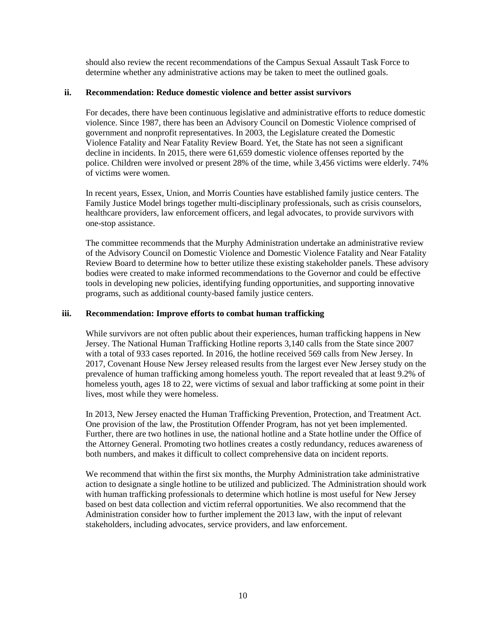should also review the recent recommendations of the Campus Sexual Assault Task Force to determine whether any administrative actions may be taken to meet the outlined goals.

#### **ii. Recommendation: Reduce domestic violence and better assist survivors**

For decades, there have been continuous legislative and administrative efforts to reduce domestic violence. Since 1987, there has been an Advisory Council on Domestic Violence comprised of government and nonprofit representatives. In 2003, the Legislature created the Domestic Violence Fatality and Near Fatality Review Board. Yet, the State has not seen a significant decline in incidents. In 2015, there were 61,659 domestic violence offenses reported by the police. Children were involved or present 28% of the time, while 3,456 victims were elderly. 74% of victims were women.

In recent years, Essex, Union, and Morris Counties have established family justice centers. The Family Justice Model brings together multi-disciplinary professionals, such as crisis counselors, healthcare providers, law enforcement officers, and legal advocates, to provide survivors with one-stop assistance.

The committee recommends that the Murphy Administration undertake an administrative review of the Advisory Council on Domestic Violence and Domestic Violence Fatality and Near Fatality Review Board to determine how to better utilize these existing stakeholder panels. These advisory bodies were created to make informed recommendations to the Governor and could be effective tools in developing new policies, identifying funding opportunities, and supporting innovative programs, such as additional county-based family justice centers.

#### **iii. Recommendation: Improve efforts to combat human trafficking**

While survivors are not often public about their experiences, human trafficking happens in New Jersey. The National Human Trafficking Hotline reports 3,140 calls from the State since 2007 with a total of 933 cases reported. In 2016, the hotline received 569 calls from New Jersey. In 2017, Covenant House New Jersey released results from the largest ever New Jersey study on the prevalence of human trafficking among homeless youth. The report revealed that at least 9.2% of homeless youth, ages 18 to 22, were victims of sexual and labor trafficking at some point in their lives, most while they were homeless.

In 2013, New Jersey enacted the Human Trafficking Prevention, Protection, and Treatment Act. One provision of the law, the Prostitution Offender Program, has not yet been implemented. Further, there are two hotlines in use, the national hotline and a State hotline under the Office of the Attorney General. Promoting two hotlines creates a costly redundancy, reduces awareness of both numbers, and makes it difficult to collect comprehensive data on incident reports.

We recommend that within the first six months, the Murphy Administration take administrative action to designate a single hotline to be utilized and publicized. The Administration should work with human trafficking professionals to determine which hotline is most useful for New Jersey based on best data collection and victim referral opportunities. We also recommend that the Administration consider how to further implement the 2013 law, with the input of relevant stakeholders, including advocates, service providers, and law enforcement.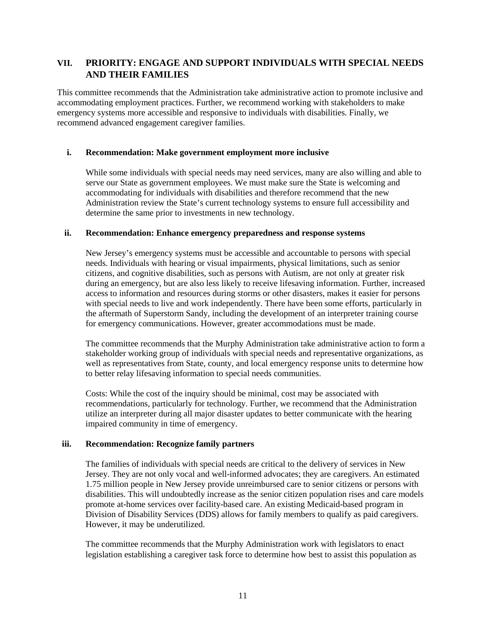# **VII. PRIORITY: ENGAGE AND SUPPORT INDIVIDUALS WITH SPECIAL NEEDS AND THEIR FAMILIES**

This committee recommends that the Administration take administrative action to promote inclusive and accommodating employment practices. Further, we recommend working with stakeholders to make emergency systems more accessible and responsive to individuals with disabilities. Finally, we recommend advanced engagement caregiver families.

# **i. Recommendation: Make government employment more inclusive**

While some individuals with special needs may need services, many are also willing and able to serve our State as government employees. We must make sure the State is welcoming and accommodating for individuals with disabilities and therefore recommend that the new Administration review the State's current technology systems to ensure full accessibility and determine the same prior to investments in new technology.

# **ii. Recommendation: Enhance emergency preparedness and response systems**

New Jersey's emergency systems must be accessible and accountable to persons with special needs. Individuals with hearing or visual impairments, physical limitations, such as senior citizens, and cognitive disabilities, such as persons with Autism, are not only at greater risk during an emergency, but are also less likely to receive lifesaving information. Further, increased access to information and resources during storms or other disasters, makes it easier for persons with special needs to live and work independently. There have been some efforts, particularly in the aftermath of Superstorm Sandy, including the development of an interpreter training course for emergency communications. However, greater accommodations must be made.

The committee recommends that the Murphy Administration take administrative action to form a stakeholder working group of individuals with special needs and representative organizations, as well as representatives from State, county, and local emergency response units to determine how to better relay lifesaving information to special needs communities.

Costs: While the cost of the inquiry should be minimal, cost may be associated with recommendations, particularly for technology. Further, we recommend that the Administration utilize an interpreter during all major disaster updates to better communicate with the hearing impaired community in time of emergency.

# **iii. Recommendation: Recognize family partners**

The families of individuals with special needs are critical to the delivery of services in New Jersey. They are not only vocal and well-informed advocates; they are caregivers. An estimated 1.75 million people in New Jersey provide unreimbursed care to senior citizens or persons with disabilities. This will undoubtedly increase as the senior citizen population rises and care models promote at-home services over facility-based care. An existing Medicaid-based program in Division of Disability Services (DDS) allows for family members to qualify as paid caregivers. However, it may be underutilized.

The committee recommends that the Murphy Administration work with legislators to enact legislation establishing a caregiver task force to determine how best to assist this population as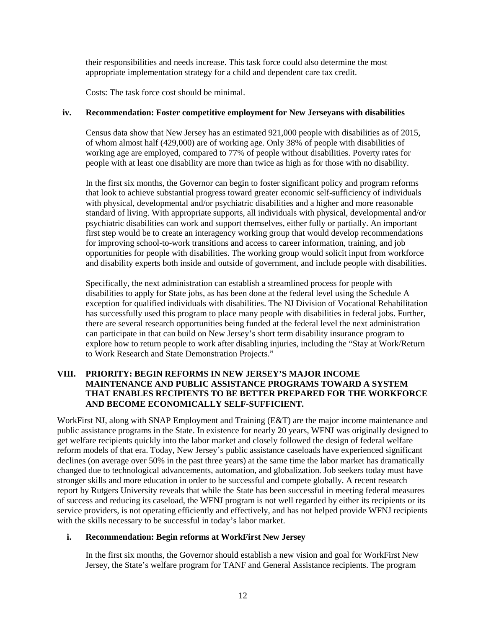their responsibilities and needs increase. This task force could also determine the most appropriate implementation strategy for a child and dependent care tax credit.

Costs: The task force cost should be minimal.

#### **iv. Recommendation: Foster competitive employment for New Jerseyans with disabilities**

Census data show that New Jersey has an estimated 921,000 people with disabilities as of 2015, of whom almost half (429,000) are of working age. Only 38% of people with disabilities of working age are employed, compared to 77% of people without disabilities. Poverty rates for people with at least one disability are more than twice as high as for those with no disability.

In the first six months, the Governor can begin to foster significant policy and program reforms that look to achieve substantial progress toward greater economic self-sufficiency of individuals with physical, developmental and/or psychiatric disabilities and a higher and more reasonable standard of living. With appropriate supports, all individuals with physical, developmental and/or psychiatric disabilities can work and support themselves, either fully or partially. An important first step would be to create an interagency working group that would develop recommendations for improving school-to-work transitions and access to career information, training, and job opportunities for people with disabilities. The working group would solicit input from workforce and disability experts both inside and outside of government, and include people with disabilities.

Specifically, the next administration can establish a streamlined process for people with disabilities to apply for State jobs, as has been done at the federal level using the Schedule A exception for qualified individuals with disabilities. The NJ Division of Vocational Rehabilitation has successfully used this program to place many people with disabilities in federal jobs. Further, there are several research opportunities being funded at the federal level the next administration can participate in that can build on New Jersey's short term disability insurance program to explore how to return people to work after disabling injuries, including the "Stay at Work/Return to Work Research and State Demonstration Projects."

# **VIII. PRIORITY: BEGIN REFORMS IN NEW JERSEY'S MAJOR INCOME MAINTENANCE AND PUBLIC ASSISTANCE PROGRAMS TOWARD A SYSTEM THAT ENABLES RECIPIENTS TO BE BETTER PREPARED FOR THE WORKFORCE AND BECOME ECONOMICALLY SELF-SUFFICIENT.**

WorkFirst NJ, along with SNAP Employment and Training (E&T) are the major income maintenance and public assistance programs in the State. In existence for nearly 20 years, WFNJ was originally designed to get welfare recipients quickly into the labor market and closely followed the design of federal welfare reform models of that era. Today, New Jersey's public assistance caseloads have experienced significant declines (on average over 50% in the past three years) at the same time the labor market has dramatically changed due to technological advancements, automation, and globalization. Job seekers today must have stronger skills and more education in order to be successful and compete globally. A recent research report by Rutgers University reveals that while the State has been successful in meeting federal measures of success and reducing its caseload, the WFNJ program is not well regarded by either its recipients or its service providers, is not operating efficiently and effectively, and has not helped provide WFNJ recipients with the skills necessary to be successful in today's labor market.

# **i. Recommendation: Begin reforms at WorkFirst New Jersey**

In the first six months, the Governor should establish a new vision and goal for WorkFirst New Jersey, the State's welfare program for TANF and General Assistance recipients. The program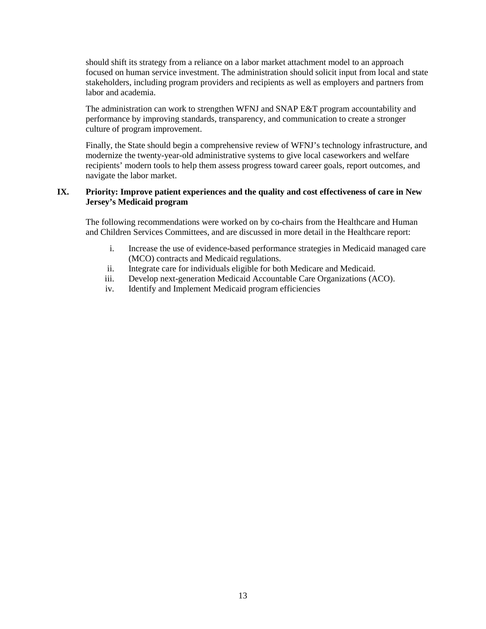should shift its strategy from a reliance on a labor market attachment model to an approach focused on human service investment. The administration should solicit input from local and state stakeholders, including program providers and recipients as well as employers and partners from labor and academia.

The administration can work to strengthen WFNJ and SNAP E&T program accountability and performance by improving standards, transparency, and communication to create a stronger culture of program improvement.

Finally, the State should begin a comprehensive review of WFNJ's technology infrastructure, and modernize the twenty-year-old administrative systems to give local caseworkers and welfare recipients' modern tools to help them assess progress toward career goals, report outcomes, and navigate the labor market.

# **IX. Priority: Improve patient experiences and the quality and cost effectiveness of care in New Jersey's Medicaid program**

The following recommendations were worked on by co-chairs from the Healthcare and Human and Children Services Committees, and are discussed in more detail in the Healthcare report:

- i. Increase the use of evidence-based performance strategies in Medicaid managed care (MCO) contracts and Medicaid regulations.
- ii. Integrate care for individuals eligible for both Medicare and Medicaid.
- iii. Develop next-generation Medicaid Accountable Care Organizations (ACO).
- iv. Identify and Implement Medicaid program efficiencies